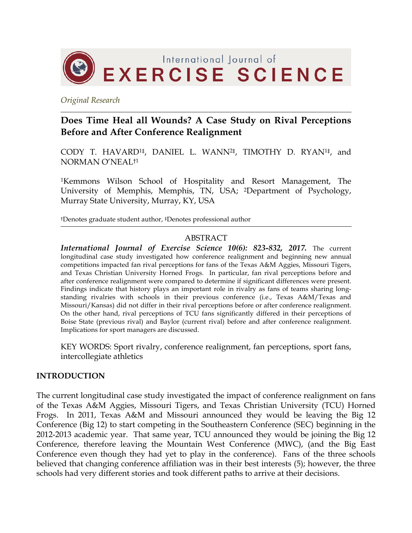

*Original Research*

# **Does Time Heal all Wounds? A Case Study on Rival Perceptions Before and After Conference Realignment**

CODY T. HAVARD1‡, DANIEL L. WANN2‡, TIMOTHY D. RYAN1‡, and NORMAN O'NEAL†1

1Kemmons Wilson School of Hospitality and Resort Management, The University of Memphis, Memphis, TN, USA; 2Department of Psychology, Murray State University, Murray, KY, USA

†Denotes graduate student author, ‡Denotes professional author

#### ABSTRACT

*International Journal of Exercise Science 10(6): 823-832, 2017.* The current longitudinal case study investigated how conference realignment and beginning new annual competitions impacted fan rival perceptions for fans of the Texas A&M Aggies, Missouri Tigers, and Texas Christian University Horned Frogs. In particular, fan rival perceptions before and after conference realignment were compared to determine if significant differences were present. Findings indicate that history plays an important role in rivalry as fans of teams sharing longstanding rivalries with schools in their previous conference (i.e., Texas A&M/Texas and Missouri/Kansas) did not differ in their rival perceptions before or after conference realignment. On the other hand, rival perceptions of TCU fans significantly differed in their perceptions of Boise State (previous rival) and Baylor (current rival) before and after conference realignment. Implications for sport managers are discussed.

KEY WORDS: Sport rivalry, conference realignment, fan perceptions, sport fans, intercollegiate athletics

#### **INTRODUCTION**

The current longitudinal case study investigated the impact of conference realignment on fans of the Texas A&M Aggies, Missouri Tigers, and Texas Christian University (TCU) Horned Frogs. In 2011, Texas A&M and Missouri announced they would be leaving the Big 12 Conference (Big 12) to start competing in the Southeastern Conference (SEC) beginning in the 2012-2013 academic year. That same year, TCU announced they would be joining the Big 12 Conference, therefore leaving the Mountain West Conference (MWC), (and the Big East Conference even though they had yet to play in the conference). Fans of the three schools believed that changing conference affiliation was in their best interests (5); however, the three schools had very different stories and took different paths to arrive at their decisions.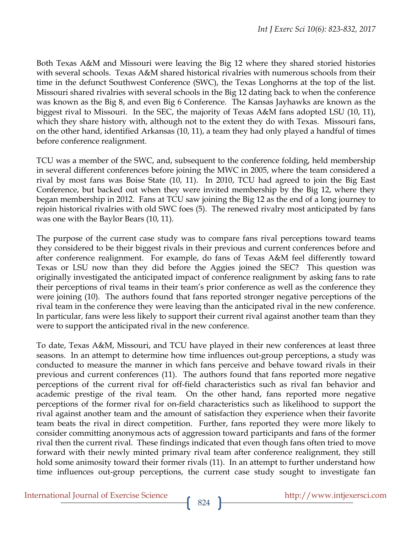Both Texas A&M and Missouri were leaving the Big 12 where they shared storied histories with several schools. Texas A&M shared historical rivalries with numerous schools from their time in the defunct Southwest Conference (SWC), the Texas Longhorns at the top of the list. Missouri shared rivalries with several schools in the Big 12 dating back to when the conference was known as the Big 8, and even Big 6 Conference. The Kansas Jayhawks are known as the biggest rival to Missouri. In the SEC, the majority of Texas A&M fans adopted LSU (10, 11), which they share history with, although not to the extent they do with Texas. Missouri fans, on the other hand, identified Arkansas (10, 11), a team they had only played a handful of times before conference realignment.

TCU was a member of the SWC, and, subsequent to the conference folding, held membership in several different conferences before joining the MWC in 2005, where the team considered a rival by most fans was Boise State (10, 11). In 2010, TCU had agreed to join the Big East Conference, but backed out when they were invited membership by the Big 12, where they began membership in 2012. Fans at TCU saw joining the Big 12 as the end of a long journey to rejoin historical rivalries with old SWC foes (5). The renewed rivalry most anticipated by fans was one with the Baylor Bears (10, 11).

The purpose of the current case study was to compare fans rival perceptions toward teams they considered to be their biggest rivals in their previous and current conferences before and after conference realignment. For example, do fans of Texas A&M feel differently toward Texas or LSU now than they did before the Aggies joined the SEC? This question was originally investigated the anticipated impact of conference realignment by asking fans to rate their perceptions of rival teams in their team's prior conference as well as the conference they were joining (10). The authors found that fans reported stronger negative perceptions of the rival team in the conference they were leaving than the anticipated rival in the new conference. In particular, fans were less likely to support their current rival against another team than they were to support the anticipated rival in the new conference.

To date, Texas A&M, Missouri, and TCU have played in their new conferences at least three seasons. In an attempt to determine how time influences out-group perceptions, a study was conducted to measure the manner in which fans perceive and behave toward rivals in their previous and current conferences (11). The authors found that fans reported more negative perceptions of the current rival for off-field characteristics such as rival fan behavior and academic prestige of the rival team. On the other hand, fans reported more negative perceptions of the former rival for on-field characteristics such as likelihood to support the rival against another team and the amount of satisfaction they experience when their favorite team beats the rival in direct competition. Further, fans reported they were more likely to consider committing anonymous acts of aggression toward participants and fans of the former rival then the current rival. These findings indicated that even though fans often tried to move forward with their newly minted primary rival team after conference realignment, they still hold some animosity toward their former rivals (11). In an attempt to further understand how time influences out-group perceptions, the current case study sought to investigate fan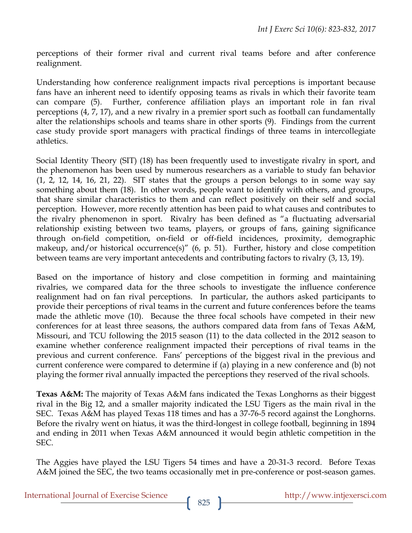perceptions of their former rival and current rival teams before and after conference realignment.

Understanding how conference realignment impacts rival perceptions is important because fans have an inherent need to identify opposing teams as rivals in which their favorite team can compare (5). Further, conference affiliation plays an important role in fan rival perceptions (4, 7, 17), and a new rivalry in a premier sport such as football can fundamentally alter the relationships schools and teams share in other sports (9). Findings from the current case study provide sport managers with practical findings of three teams in intercollegiate athletics.

Social Identity Theory (SIT) (18) has been frequently used to investigate rivalry in sport, and the phenomenon has been used by numerous researchers as a variable to study fan behavior  $(1, 2, 12, 14, 16, 21, 22)$ . SIT states that the groups a person belongs to in some way say something about them (18). In other words, people want to identify with others, and groups, that share similar characteristics to them and can reflect positively on their self and social perception. However, more recently attention has been paid to what causes and contributes to the rivalry phenomenon in sport. Rivalry has been defined as "a fluctuating adversarial relationship existing between two teams, players, or groups of fans, gaining significance through on-field competition, on-field or off-field incidences, proximity, demographic makeup, and/or historical occurrence(s)" (6, p. 51). Further, history and close competition between teams are very important antecedents and contributing factors to rivalry (3, 13, 19).

Based on the importance of history and close competition in forming and maintaining rivalries, we compared data for the three schools to investigate the influence conference realignment had on fan rival perceptions. In particular, the authors asked participants to provide their perceptions of rival teams in the current and future conferences before the teams made the athletic move (10). Because the three focal schools have competed in their new conferences for at least three seasons, the authors compared data from fans of Texas A&M, Missouri, and TCU following the 2015 season (11) to the data collected in the 2012 season to examine whether conference realignment impacted their perceptions of rival teams in the previous and current conference. Fans' perceptions of the biggest rival in the previous and current conference were compared to determine if (a) playing in a new conference and (b) not playing the former rival annually impacted the perceptions they reserved of the rival schools.

**Texas A&M:** The majority of Texas A&M fans indicated the Texas Longhorns as their biggest rival in the Big 12, and a smaller majority indicated the LSU Tigers as the main rival in the SEC. Texas A&M has played Texas 118 times and has a 37-76-5 record against the Longhorns. Before the rivalry went on hiatus, it was the third-longest in college football, beginning in 1894 and ending in 2011 when Texas A&M announced it would begin athletic competition in the SEC.

The Aggies have played the LSU Tigers 54 times and have a 20-31-3 record. Before Texas A&M joined the SEC, the two teams occasionally met in pre-conference or post-season games.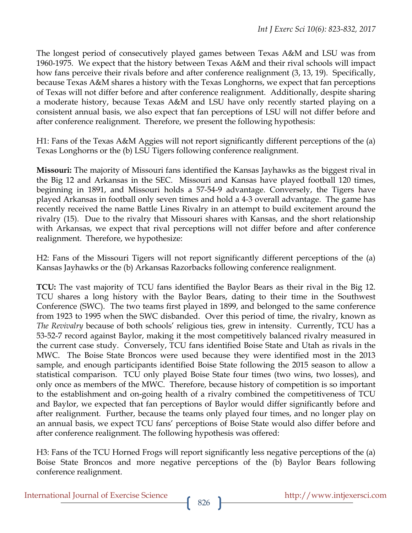The longest period of consecutively played games between Texas A&M and LSU was from 1960-1975. We expect that the history between Texas A&M and their rival schools will impact how fans perceive their rivals before and after conference realignment (3, 13, 19). Specifically, because Texas A&M shares a history with the Texas Longhorns, we expect that fan perceptions of Texas will not differ before and after conference realignment. Additionally, despite sharing a moderate history, because Texas A&M and LSU have only recently started playing on a consistent annual basis, we also expect that fan perceptions of LSU will not differ before and after conference realignment. Therefore, we present the following hypothesis:

H1: Fans of the Texas A&M Aggies will not report significantly different perceptions of the (a) Texas Longhorns or the (b) LSU Tigers following conference realignment.

**Missouri:** The majority of Missouri fans identified the Kansas Jayhawks as the biggest rival in the Big 12 and Arkansas in the SEC. Missouri and Kansas have played football 120 times, beginning in 1891, and Missouri holds a 57-54-9 advantage. Conversely, the Tigers have played Arkansas in football only seven times and hold a 4-3 overall advantage. The game has recently received the name Battle Lines Rivalry in an attempt to build excitement around the rivalry (15). Due to the rivalry that Missouri shares with Kansas, and the short relationship with Arkansas, we expect that rival perceptions will not differ before and after conference realignment. Therefore, we hypothesize:

H2: Fans of the Missouri Tigers will not report significantly different perceptions of the (a) Kansas Jayhawks or the (b) Arkansas Razorbacks following conference realignment.

**TCU:** The vast majority of TCU fans identified the Baylor Bears as their rival in the Big 12. TCU shares a long history with the Baylor Bears, dating to their time in the Southwest Conference (SWC). The two teams first played in 1899, and belonged to the same conference from 1923 to 1995 when the SWC disbanded. Over this period of time, the rivalry, known as *The Revivalry* because of both schools' religious ties, grew in intensity. Currently, TCU has a 53-52-7 record against Baylor, making it the most competitively balanced rivalry measured in the current case study. Conversely, TCU fans identified Boise State and Utah as rivals in the MWC. The Boise State Broncos were used because they were identified most in the 2013 sample, and enough participants identified Boise State following the 2015 season to allow a statistical comparison. TCU only played Boise State four times (two wins, two losses), and only once as members of the MWC. Therefore, because history of competition is so important to the establishment and on-going health of a rivalry combined the competitiveness of TCU and Baylor, we expected that fan perceptions of Baylor would differ significantly before and after realignment. Further, because the teams only played four times, and no longer play on an annual basis, we expect TCU fans' perceptions of Boise State would also differ before and after conference realignment. The following hypothesis was offered:

H3: Fans of the TCU Horned Frogs will report significantly less negative perceptions of the (a) Boise State Broncos and more negative perceptions of the (b) Baylor Bears following conference realignment.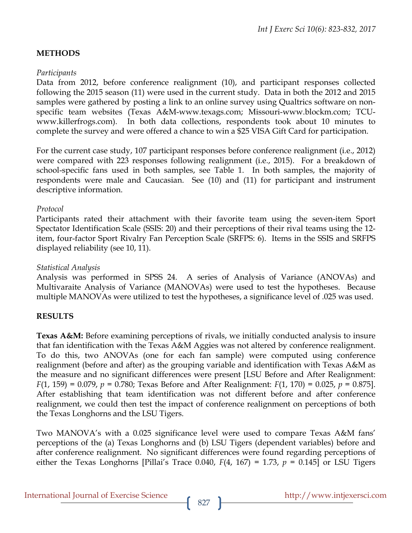# **METHODS**

### *Participants*

Data from 2012, before conference realignment (10), and participant responses collected following the 2015 season (11) were used in the current study. Data in both the 2012 and 2015 samples were gathered by posting a link to an online survey using Qualtrics software on nonspecific team websites (Texas A&M-www.texags.com; Missouri-www.blockm.com; TCUwww.killerfrogs.com). In both data collections, respondents took about 10 minutes to complete the survey and were offered a chance to win a \$25 VISA Gift Card for participation.

For the current case study, 107 participant responses before conference realignment (i.e., 2012) were compared with 223 responses following realignment (i.e., 2015). For a breakdown of school-specific fans used in both samples, see Table 1. In both samples, the majority of respondents were male and Caucasian. See (10) and (11) for participant and instrument descriptive information.

## *Protocol*

Participants rated their attachment with their favorite team using the seven-item Sport Spectator Identification Scale (SSIS: 20) and their perceptions of their rival teams using the 12 item, four-factor Sport Rivalry Fan Perception Scale (SRFPS: 6). Items in the SSIS and SRFPS displayed reliability (see 10, 11).

## *Statistical Analysis*

Analysis was performed in SPSS 24. A series of Analysis of Variance (ANOVAs) and Multivaraite Analysis of Variance (MANOVAs) were used to test the hypotheses. Because multiple MANOVAs were utilized to test the hypotheses, a significance level of .025 was used.

# **RESULTS**

**Texas A&M:** Before examining perceptions of rivals, we initially conducted analysis to insure that fan identification with the Texas A&M Aggies was not altered by conference realignment. To do this, two ANOVAs (one for each fan sample) were computed using conference realignment (before and after) as the grouping variable and identification with Texas A&M as the measure and no significant differences were present [LSU Before and After Realignment: *F*(1, 159) = 0.079, *p* = 0.780; Texas Before and After Realignment: *F*(1, 170) = 0.025, *p* = 0.875]. After establishing that team identification was not different before and after conference realignment, we could then test the impact of conference realignment on perceptions of both the Texas Longhorns and the LSU Tigers.

Two MANOVA's with a 0.025 significance level were used to compare Texas A&M fans' perceptions of the (a) Texas Longhorns and (b) LSU Tigers (dependent variables) before and after conference realignment. No significant differences were found regarding perceptions of either the Texas Longhorns [Pillai's Trace 0.040,  $F(4, 167) = 1.73$ ,  $p = 0.145$ ] or LSU Tigers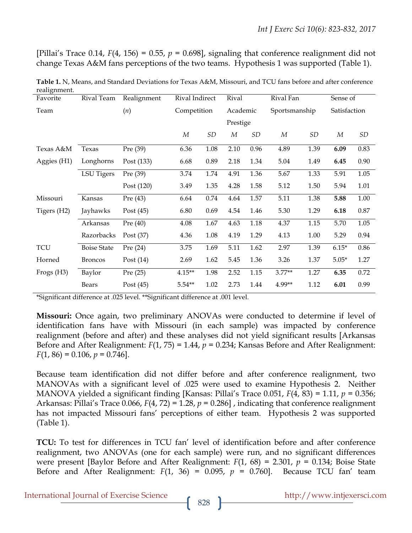[Pillai's Trace 0.14,  $F(4, 156) = 0.55$ ,  $p = 0.698$ ], signaling that conference realignment did not change Texas A&M fans perceptions of the two teams. Hypothesis 1 was supported (Table 1).

| reangiment.<br>Favorite | Rival Team         | Realignment | Rival Indirect |      | Rival    |      | Rival Fan     |           | Sense of     |      |
|-------------------------|--------------------|-------------|----------------|------|----------|------|---------------|-----------|--------------|------|
| Team                    |                    | (n)         | Competition    |      | Academic |      | Sportsmanship |           | Satisfaction |      |
|                         |                    |             |                |      | Prestige |      |               |           |              |      |
|                         |                    |             | М              | SD   | М        | SD   | М             | <b>SD</b> | М            | SD   |
| Texas A&M               | Texas              | Pre (39)    | 6.36           | 1.08 | 2.10     | 0.96 | 4.89          | 1.39      | 6.09         | 0.83 |
| Aggies (H1)             | Longhorns          | Post (133)  | 6.68           | 0.89 | 2.18     | 1.34 | 5.04          | 1.49      | 6.45         | 0.90 |
|                         | LSU Tigers         | Pre (39)    | 3.74           | 1.74 | 4.91     | 1.36 | 5.67          | 1.33      | 5.91         | 1.05 |
|                         |                    | Post (120)  | 3.49           | 1.35 | 4.28     | 1.58 | 5.12          | 1.50      | 5.94         | 1.01 |
| Missouri                | Kansas             | Pre $(43)$  | 6.64           | 0.74 | 4.64     | 1.57 | 5.11          | 1.38      | 5.88         | 1.00 |
| Tigers (H2)             | Jayhawks           | Post $(45)$ | 6.80           | 0.69 | 4.54     | 1.46 | 5.30          | 1.29      | 6.18         | 0.87 |
|                         | Arkansas           | Pre $(40)$  | 4.08           | 1.67 | 4.63     | 1.18 | 4.37          | 1.15      | 5.70         | 1.05 |
|                         | Razorbacks         | Post $(37)$ | 4.36           | 1.08 | 4.19     | 1.29 | 4.13          | 1.00      | 5.29         | 0.94 |
| <b>TCU</b>              | <b>Boise State</b> | Pre $(24)$  | 3.75           | 1.69 | 5.11     | 1.62 | 2.97          | 1.39      | $6.15*$      | 0.86 |
| Horned                  | <b>Broncos</b>     | Post $(14)$ | 2.69           | 1.62 | 5.45     | 1.36 | 3.26          | 1.37      | $5.05*$      | 1.27 |
| Frogs (H3)              | Baylor             | Pre $(25)$  | $4.15**$       | 1.98 | 2.52     | 1.15 | $3.77**$      | 1.27      | 6.35         | 0.72 |
|                         | Bears              | Post $(45)$ | $5.54**$       | 1.02 | 2.73     | 1.44 | 4.99**        | 1.12      | 6.01         | 0.99 |

**Table 1.** N, Means, and Standard Deviations for Texas A&M, Missouri, and TCU fans before and after conference realignment

\*Significant difference at .025 level. \*\*Significant difference at .001 level.

**Missouri:** Once again, two preliminary ANOVAs were conducted to determine if level of identification fans have with Missouri (in each sample) was impacted by conference realignment (before and after) and these analyses did not yield significant results [Arkansas Before and After Realignment: *F*(1, 75) = 1.44, *p* = 0.234; Kansas Before and After Realignment:  $F(1, 86) = 0.106$ ,  $p = 0.746$ .

Because team identification did not differ before and after conference realignment, two MANOVAs with a significant level of .025 were used to examine Hypothesis 2. Neither MANOVA yielded a significant finding [Kansas: Pillai's Trace 0.051, *F*(4, 83) = 1.11, *p* = 0.356; Arkansas: Pillai's Trace 0.066, *F*(4, 72) = 1.28, *p* = 0.286] , indicating that conference realignment has not impacted Missouri fans' perceptions of either team. Hypothesis 2 was supported (Table 1).

**TCU:** To test for differences in TCU fan' level of identification before and after conference realignment, two ANOVAs (one for each sample) were run, and no significant differences were present [Baylor Before and After Realignment: *F*(1, 68) = 2.301, *p* = 0.134; Boise State Before and After Realignment:  $F(1, 36) = 0.095$ ,  $p = 0.760$ . Because TCU fan' team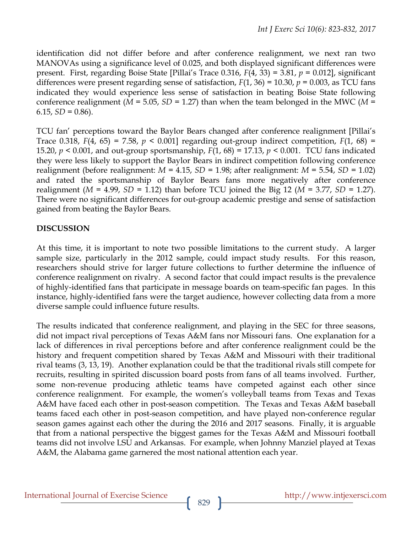identification did not differ before and after conference realignment, we next ran two MANOVAs using a significance level of 0.025, and both displayed significant differences were present. First, regarding Boise State [Pillai's Trace 0.316, *F*(4, 33) = 3.81, *p* = 0.012], significant differences were present regarding sense of satisfaction,  $F(1, 36) = 10.30$ ,  $p = 0.003$ , as TCU fans indicated they would experience less sense of satisfaction in beating Boise State following conference realignment ( $M = 5.05$ ,  $SD = 1.27$ ) than when the team belonged in the MWC ( $M =$  $6.15, SD = 0.86$ .

TCU fan' perceptions toward the Baylor Bears changed after conference realignment [Pillai's Trace 0.318,  $F(4, 65) = 7.58$ ,  $p < 0.001$  regarding out-group indirect competition,  $F(1, 68) =$ 15.20, *p* < 0.001, and out-group sportsmanship, *F*(1, 68) = 17.13, *p* < 0.001. TCU fans indicated they were less likely to support the Baylor Bears in indirect competition following conference realignment (before realignment: *M* = 4.15, *SD* = 1.98; after realignment: *M* = 5.54, *SD* = 1.02) and rated the sportsmanship of Baylor Bears fans more negatively after conference realignment ( $M = 4.99$ ,  $SD = 1.12$ ) than before TCU joined the Big 12 ( $M = 3.77$ ,  $SD = 1.27$ ). There were no significant differences for out-group academic prestige and sense of satisfaction gained from beating the Baylor Bears.

# **DISCUSSION**

At this time, it is important to note two possible limitations to the current study. A larger sample size, particularly in the 2012 sample, could impact study results. For this reason, researchers should strive for larger future collections to further determine the influence of conference realignment on rivalry. A second factor that could impact results is the prevalence of highly-identified fans that participate in message boards on team-specific fan pages. In this instance, highly-identified fans were the target audience, however collecting data from a more diverse sample could influence future results.

The results indicated that conference realignment, and playing in the SEC for three seasons, did not impact rival perceptions of Texas A&M fans nor Missouri fans. One explanation for a lack of differences in rival perceptions before and after conference realignment could be the history and frequent competition shared by Texas A&M and Missouri with their traditional rival teams (3, 13, 19). Another explanation could be that the traditional rivals still compete for recruits, resulting in spirited discussion board posts from fans of all teams involved. Further, some non-revenue producing athletic teams have competed against each other since conference realignment. For example, the women's volleyball teams from Texas and Texas A&M have faced each other in post-season competition. The Texas and Texas A&M baseball teams faced each other in post-season competition, and have played non-conference regular season games against each other the during the 2016 and 2017 seasons. Finally, it is arguable that from a national perspective the biggest games for the Texas A&M and Missouri football teams did not involve LSU and Arkansas. For example, when Johnny Manziel played at Texas A&M, the Alabama game garnered the most national attention each year.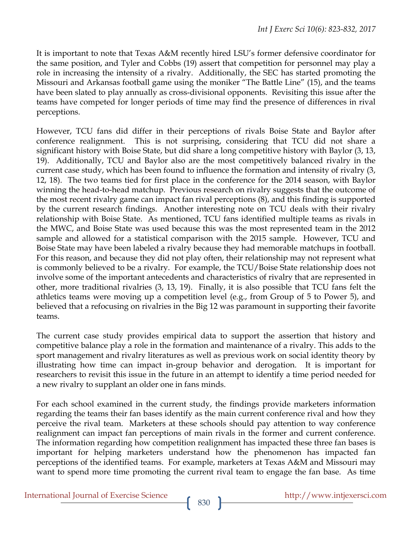It is important to note that Texas A&M recently hired LSU's former defensive coordinator for the same position, and Tyler and Cobbs (19) assert that competition for personnel may play a role in increasing the intensity of a rivalry. Additionally, the SEC has started promoting the Missouri and Arkansas football game using the moniker "The Battle Line" (15), and the teams have been slated to play annually as cross-divisional opponents. Revisiting this issue after the teams have competed for longer periods of time may find the presence of differences in rival perceptions.

However, TCU fans did differ in their perceptions of rivals Boise State and Baylor after conference realignment. This is not surprising, considering that TCU did not share a significant history with Boise State, but did share a long competitive history with Baylor (3, 13, 19). Additionally, TCU and Baylor also are the most competitively balanced rivalry in the current case study, which has been found to influence the formation and intensity of rivalry (3, 12, 18). The two teams tied for first place in the conference for the 2014 season, with Baylor winning the head-to-head matchup. Previous research on rivalry suggests that the outcome of the most recent rivalry game can impact fan rival perceptions (8), and this finding is supported by the current research findings. Another interesting note on TCU deals with their rivalry relationship with Boise State. As mentioned, TCU fans identified multiple teams as rivals in the MWC, and Boise State was used because this was the most represented team in the 2012 sample and allowed for a statistical comparison with the 2015 sample. However, TCU and Boise State may have been labeled a rivalry because they had memorable matchups in football. For this reason, and because they did not play often, their relationship may not represent what is commonly believed to be a rivalry. For example, the TCU/Boise State relationship does not involve some of the important antecedents and characteristics of rivalry that are represented in other, more traditional rivalries (3, 13, 19). Finally, it is also possible that TCU fans felt the athletics teams were moving up a competition level (e.g., from Group of 5 to Power 5), and believed that a refocusing on rivalries in the Big 12 was paramount in supporting their favorite teams.

The current case study provides empirical data to support the assertion that history and competitive balance play a role in the formation and maintenance of a rivalry. This adds to the sport management and rivalry literatures as well as previous work on social identity theory by illustrating how time can impact in-group behavior and derogation. It is important for researchers to revisit this issue in the future in an attempt to identify a time period needed for a new rivalry to supplant an older one in fans minds.

For each school examined in the current study, the findings provide marketers information regarding the teams their fan bases identify as the main current conference rival and how they perceive the rival team. Marketers at these schools should pay attention to way conference realignment can impact fan perceptions of main rivals in the former and current conference. The information regarding how competition realignment has impacted these three fan bases is important for helping marketers understand how the phenomenon has impacted fan perceptions of the identified teams. For example, marketers at Texas A&M and Missouri may want to spend more time promoting the current rival team to engage the fan base. As time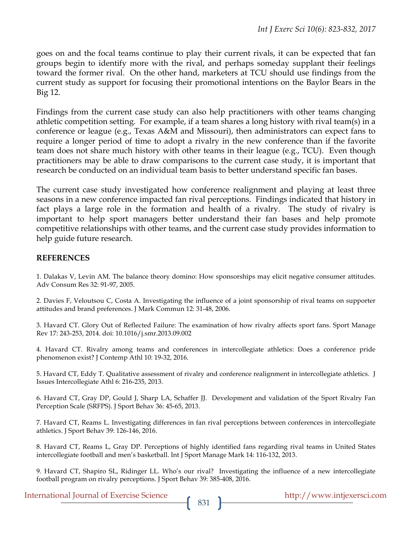goes on and the focal teams continue to play their current rivals, it can be expected that fan groups begin to identify more with the rival, and perhaps someday supplant their feelings toward the former rival. On the other hand, marketers at TCU should use findings from the current study as support for focusing their promotional intentions on the Baylor Bears in the Big 12.

Findings from the current case study can also help practitioners with other teams changing athletic competition setting. For example, if a team shares a long history with rival team(s) in a conference or league (e.g., Texas A&M and Missouri), then administrators can expect fans to require a longer period of time to adopt a rivalry in the new conference than if the favorite team does not share much history with other teams in their league (e.g., TCU). Even though practitioners may be able to draw comparisons to the current case study, it is important that research be conducted on an individual team basis to better understand specific fan bases.

The current case study investigated how conference realignment and playing at least three seasons in a new conference impacted fan rival perceptions. Findings indicated that history in fact plays a large role in the formation and health of a rivalry. The study of rivalry is important to help sport managers better understand their fan bases and help promote competitive relationships with other teams, and the current case study provides information to help guide future research.

#### **REFERENCES**

1. Dalakas V, Levin AM. The balance theory domino: How sponsorships may elicit negative consumer attitudes. Adv Consum Res 32: 91-97, 2005.

2. Davies F, Veloutsou C, Costa A. Investigating the influence of a joint sponsorship of rival teams on supporter attitudes and brand preferences. J Mark Commun 12: 31-48, 2006.

3. Havard CT. Glory Out of Reflected Failure: The examination of how rivalry affects sport fans. Sport Manage Rev 17: 243-253, 2014. doi: 10.1016/j.smr.2013.09.002

4. Havard CT. Rivalry among teams and conferences in intercollegiate athletics: Does a conference pride phenomenon exist? J Contemp Athl 10: 19-32, 2016.

5. Havard CT, Eddy T. Qualitative assessment of rivalry and conference realignment in intercollegiate athletics. J Issues Intercollegiate Athl 6: 216-235, 2013.

6. Havard CT, Gray DP, Gould J, Sharp LA, Schaffer JJ. Development and validation of the Sport Rivalry Fan Perception Scale (SRFPS). J Sport Behav 36: 45-65, 2013.

7. Havard CT, Reams L. Investigating differences in fan rival perceptions between conferences in intercollegiate athletics. J Sport Behav 39: 126-146, 2016.

8. Havard CT, Reams L, Gray DP. Perceptions of highly identified fans regarding rival teams in United States intercollegiate football and men's basketball. Int J Sport Manage Mark 14: 116-132, 2013.

9. Havard CT, Shapiro SL, Ridinger LL. Who's our rival? Investigating the influence of a new intercollegiate football program on rivalry perceptions. J Sport Behav 39: 385-408, 2016.

International Journal of Exercise Science http://www.intjexersci.com